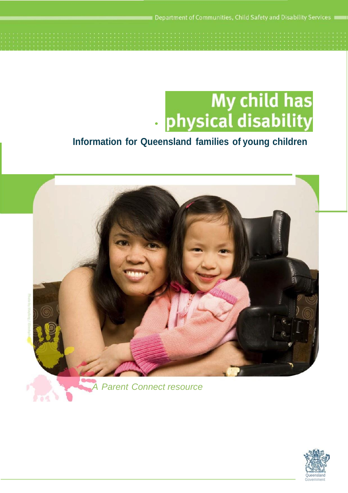Department of Communities, Child Safety and Disability Services



# **Information for Queensland families of young children**



*Parent Connect resource* 

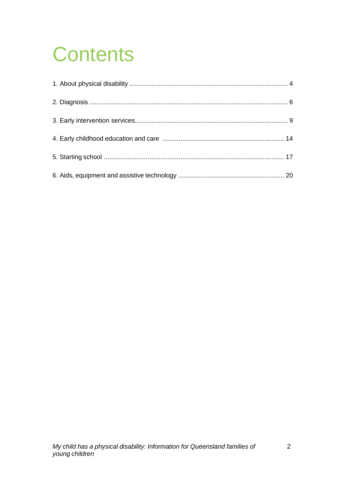# **Contents**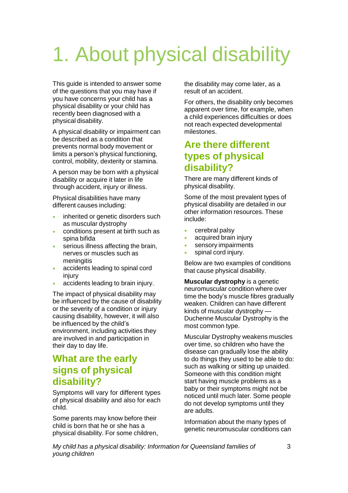# 1. About physical disability

This guide is intended to answer some of the questions that you may have if you have concerns your child has a physical disability or your child has recently been diagnosed with a physical disability.

A physical disability or impairment can be described as a condition that prevents normal body movement or limits a person's physical functioning, control, mobility, dexterity or stamina.

A person may be born with a physical disability or acquire it later in life through accident, injury or illness.

Physical disabilities have many different causes including:

- **inherited or genetic disorders such** as muscular dystrophy
- conditions present at birth such as spina bifida
- **serious illness affecting the brain,** nerves or muscles such as meningitis
- accidents leading to spinal cord injury
- accidents leading to brain injury.

The impact of physical disability may be influenced by the cause of disability or the severity of a condition or injury causing disability, however, it will also be influenced by the child's environment, including activities they are involved in and participation in their day to day life.

# **What are the early signs of physical disability?**

Symptoms will vary for different types of physical disability and also for each child.

Some parents may know before their child is born that he or she has a physical disability. For some children, the disability may come later, as a result of an accident.

For others, the disability only becomes apparent over time, for example, when a child experiences difficulties or does not reach expected developmental milestones.

# **Are there different types of physical disability?**

There are many different kinds of physical disability.

Some of the most prevalent types of physical disability are detailed in our other information resources. These include:

- cerebral palsy
- acquired brain injury
- sensory impairments
- spinal cord injury.

Below are two examples of conditions that cause physical disability.

**Muscular dystrophy** is a genetic neuromuscular condition where over time the body's muscle fibres gradually weaken. Children can have different kinds of muscular dystrophy — Duchenne Muscular Dystrophy is the most common type.

Muscular Dystrophy weakens muscles over time, so children who have the disease can gradually lose the ability to do things they used to be able to do: such as walking or sitting up unaided. Someone with this condition might start having muscle problems as a baby or their symptoms might not be noticed until much later. Some people do not develop symptoms until they are adults.

Information about the many types of genetic neuromuscular conditions can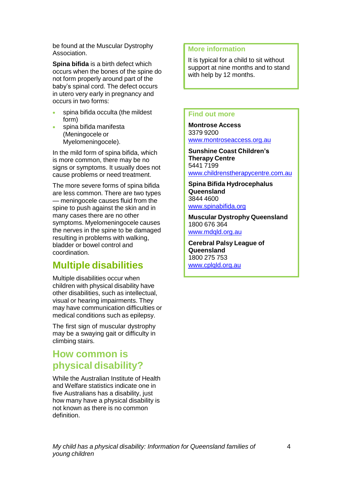be found at the Muscular Dystrophy Association.

**Spina bifida** is a birth defect which occurs when the bones of the spine do not form properly around part of the baby's spinal cord. The defect occurs in utero very early in pregnancy and occurs in two forms:

- spina bifida occulta (the mildest form)
- spina bifida manifesta (Meningocele or Myelomeningocele).

In the mild form of spina bifida, which is more common, there may be no signs or symptoms. It usually does not cause problems or need treatment.

The more severe forms of spina bifida are less common. There are two types — meningocele causes fluid from the spine to push against the skin and in many cases there are no other symptoms. Myelomeningocele causes the nerves in the spine to be damaged resulting in problems with walking, bladder or bowel control and coordination.

# **Multiple disabilities**

Multiple disabilities occur when children with physical disability have other disabilities, such as intellectual, visual or hearing impairments. They may have communication difficulties or medical conditions such as epilepsy.

The first sign of muscular dystrophy may be a swaying gait or difficulty in climbing stairs.

# **How common is physical disability?**

While the Australian Institute of Health and Welfare statistics indicate one in five Australians has a disability, just how many have a physical disability is not known as there is no common definition.

# **More information**

It is typical for a child to sit without support at nine months and to stand with help by 12 months.

### **Find out more**

**Montrose Access** 3379 9200 [www.montroseaccess.org.au](http://www.montroseaccess.org.au/)

**Sunshine Coast Children's Therapy Centre** 5441 7199 www.childrenstherapycentre.com.au

**Spina Bifida Hydrocephalus Queensland** 3844 4600 [www.spinabifida.org](http://www.spinabifida.org/)

**Muscular Dystrophy Queensland** 1800 676 364 [www.mdqld.org.au](http://www.mdqld.org.au/)

**Cerebral Palsy League of Queensland** 1800 275 753 [www.cplqld.org.au](http://www.cplqld.org.au/)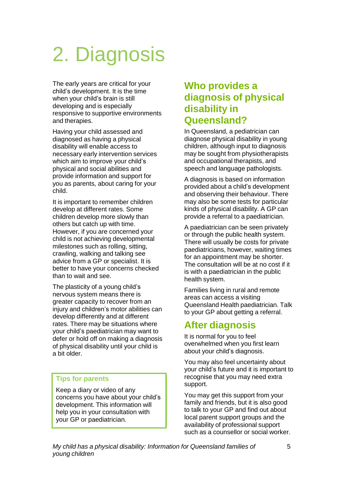# 2. Diagnosis

The early years are critical for your child's development. It is the time when your child's brain is still developing and is especially responsive to supportive environments and therapies.

Having your child assessed and diagnosed as having a physical disability will enable access to necessary early intervention services which aim to improve your child's physical and social abilities and provide information and support for you as parents, about caring for your child.

It is important to remember children develop at different rates. Some children develop more slowly than others but catch up with time. However, if you are concerned your child is not achieving developmental milestones such as rolling, sitting, crawling, walking and talking see advice from a GP or specialist. It is better to have your concerns checked than to wait and see.

The plasticity of a young child's nervous system means there is greater capacity to recover from an injury and children's motor abilities can develop differently and at different rates. There may be situations where your child's paediatrician may want to defer or hold off on making a diagnosis of physical disability until your child is a bit older.

# **Tips for parents**

Keep a diary or video of any concerns you have about your child's development. This information will help you in your consultation with your GP or paediatrician.

# **Who provides a diagnosis of physical disability in Queensland?**

In Queensland, a pediatrician can diagnose physical disability in young children, although input to diagnosis may be sought from physiotherapists and occupational therapists, and speech and language pathologists.

A diagnosis is based on information provided about a child's development and observing their behaviour. There may also be some tests for particular kinds of physical disability. A GP can provide a referral to a paediatrician.

A paediatrician can be seen privately or through the public health system. There will usually be costs for private paediatricians, however, waiting times for an appointment may be shorter. The consultation will be at no cost if it is with a paediatrician in the public health system.

Families living in rural and remote areas can access a visiting Queensland Health paediatrician. Talk to your GP about getting a referral.

# **After diagnosis**

It is normal for you to feel overwhelmed when you first learn about your child's diagnosis.

You may also feel uncertainty about your child's future and it is important to recognise that you may need extra support.

You may get this support from your family and friends, but it is also good to talk to your GP and find out about local parent support groups and the availability of professional support such as a counsellor or social worker.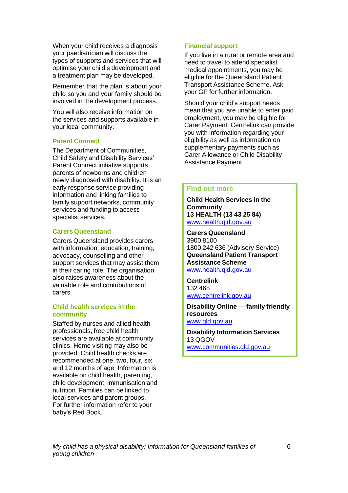When your child receives a diagnosis your paediatrician will discuss the types of supports and services that will optimise your child's development and a treatment plan may be developed.

Remember that the plan is about your child so you and your family should be involved in the development process.

You will also receive information on the services and supports available in your local community.

### **Parent Connect**

The Department of Communities, Child Safety and Disability Services' Parent Connect initiative supports parents of newborns and children newly diagnosed with disability. It is an early response service providing information and linking families to family support networks, community services and funding to access specialist services.

### **Carers Queensland**

Carers Queensland provides carers with information, education, training, advocacy, counselling and other support services that may assist them in their caring role. The organisation also raises awareness about the valuable role and contributions of carers.

## **Child health services in the community**

Staffed by nurses and allied health professionals, free child health services are available at community clinics. Home visiting may also be provided. Child health checks are recommended at one, two, four, six and 12 months of age. Information is available on child health, parenting, child development, immunisation and nutrition. Families can be linked to local services and parent groups. For further information refer to your baby's Red Book.

## **Financial support**

If you live in a rural or remote area and need to travel to attend specialist medical appointments, you may be eligible for the Queensland Patient Transport Assistance Scheme. Ask your GP for further information.

Should your child's support needs mean that you are unable to enter paid employment, you may be eligible for Carer Payment. Centrelink can provide you with information regarding your eligibility as well as information on supplementary payments such as Carer Allowance or Child Disability Assistance Payment.

### **Find out more**

**Child Health Services in the Community 13 HEALTH (13 43 25 84)** [www.health.qld.gov.au](http://www.health.qld.gov.au/)

**Carers Queensland** 3900 8100 1800 242 636 (Advisory Service) **Queensland Patient Transport Assistance Scheme** [www.health.qld.gov.au](http://www.health.qld.gov.au/)

**Centrelink** 132 468 [www.centrelink.gov.au](http://www.centrelink.gov.au/)

**Disability Online — family friendly resources** [www.qld.gov.au](http://www.qld.gov.au/)

**Disability Information Services** 13 QGOV [www.communities.qld.gov.au](http://www.communities.qld.gov.au/)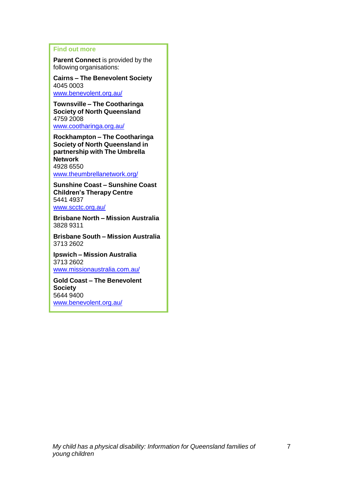## **Find out more**

**Parent Connect** is provided by the following organisations:

**Cairns – The Benevolent Society** 4045 0003 [www.benevolent.org.au/](http://www.benevolent.org.au/)

**Townsville – The Cootharinga Society of North Queensland** 4759 2008 [www.cootharinga.org.au/](http://www.cootharinga.org.au/)

**Rockhampton – The Cootharinga Society of North Queensland in partnership with The Umbrella Network** 4928 6550 [www.theumbrellanetwork.org/](http://www.theumbrellanetwork.org/)

**Sunshine Coast – Sunshine Coast Children's Therapy Centre** 5441 4937 [www.scctc.org.au/](http://www.scctc.org.au/)

**Brisbane North – Mission Australia** 3828 9311

**Brisbane South – Mission Australia** 3713 2602

**Ipswich – Mission Australia** 3713 2602 [www.missionaustralia.com.au/](http://www.missionaustralia.com.au/)

**Gold Coast – The Benevolent Society** 5644 9400 [www.benevolent.org.au/](http://www.benevolent.org.au/)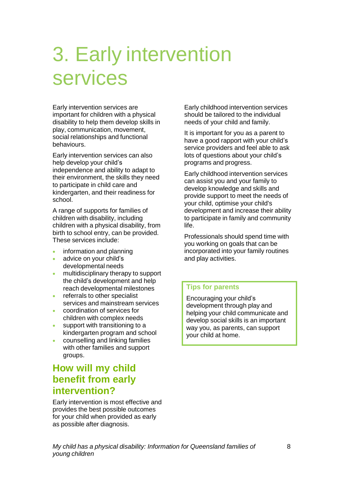# 3. Early intervention services

Early intervention services are important for children with a physical disability to help them develop skills in play, communication, movement, social relationships and functional behaviours.

Early intervention services can also help develop your child's independence and ability to adapt to their environment, the skills they need to participate in child care and kindergarten, and their readiness for school.

A range of supports for families of children with disability, including children with a physical disability, from birth to school entry, can be provided. These services include:

- **•** information and planning
- advice on your child's developmental needs
- **•** multidisciplinary therapy to support the child's development and help reach developmental milestones
- **•** referrals to other specialist services and mainstream services
- coordination of services for children with complex needs
- support with transitioning to a kindergarten program and school
- counselling and linking families with other families and support groups.

# **How will my child benefit from early intervention?**

Early intervention is most effective and provides the best possible outcomes for your child when provided as early as possible after diagnosis.

Early childhood intervention services should be tailored to the individual needs of your child and family.

It is important for you as a parent to have a good rapport with your child's service providers and feel able to ask lots of questions about your child's programs and progress.

Early childhood intervention services can assist you and your family to develop knowledge and skills and provide support to meet the needs of your child, optimise your child's development and increase their ability to participate in family and community life.

Professionals should spend time with you working on goals that can be incorporated into your family routines and play activities.

# **Tips for parents**

Encouraging your child's development through play and helping your child communicate and develop social skills is an important way you, as parents, can support your child at home.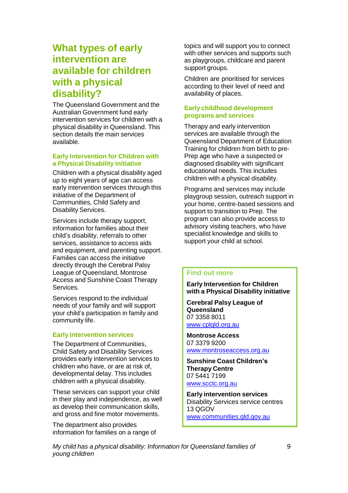# **What types of early intervention are available for children with a physical disability?**

The Queensland Government and the Australian Government fund early intervention services for children with a physical disability in Queensland. This section details the main services available.

### **Early Intervention for Children with a Physical Disability initiative**

Children with a physical disability aged up to eight years of age can access early intervention services through this initiative of the Department of Communities, Child Safety and Disability Services.

Services include therapy support, information for families about their child's disability, referrals to other services, assistance to access aids and equipment, and parenting support. Families can access the initiative directly through the Cerebral Palsy League of Queensland, Montrose Access and Sunshine Coast Therapy Services.

Services respond to the individual needs of your family and will support your child's participation in family and community life.

#### **Early intervention services**

The Department of Communities, Child Safety and Disability Services provides early intervention services to children who have, or are at risk of, developmental delay. This includes children with a physical disability.

These services can support your child in their play and independence, as well as develop their communication skills, and gross and fine motor movements.

The department also provides information for families on a range of topics and will support you to connect with other services and supports such as playgroups, childcare and parent support groups.

Children are prioritised for services according to their level of need and availability of places.

## **Early childhood development programs and services**

Therapy and early intervention services are available through the Queensland Department of Education Training for children from birth to pre-Prep age who have a suspected or diagnosed disability with significant educational needs. This includes children with a physical disability.

Programs and services may include playgroup session, outreach support in your home, centre-based sessions and support to transition to Prep. The program can also provide access to advisory visiting teachers, who have specialist knowledge and skills to support your child at school.

## **Find out more**

**Early Intervention for Children with a Physical Disability initiative**

**Cerebral Palsy League of Queensland** 07 3358 8011 [www.cplqld.org.au](http://www.cplqld.org.au/)

**Montrose Access** 07 3379 9200 [www.montroseaccess.org.au](http://www.montroseaccess.org.au/)

**Sunshine Coast Children's Therapy Centre** 07 5441 7199 [www.scctc.org.au](http://www.scctc.org.au/)

**Early intervention services** Disability Services service centres 13 QGOV [www.communities.qld.gov.au](http://www.communities.qld.gov.au/)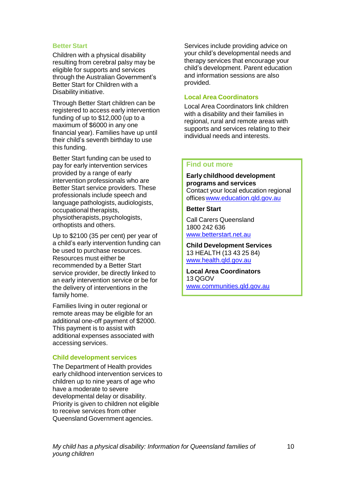#### **Better Start**

Children with a physical disability resulting from cerebral palsy may be eligible for supports and services through the Australian Government's Better Start for Children with a Disability initiative.

Through Better Start children can be registered to access early intervention funding of up to \$12,000 (up to a maximum of \$6000 in any one financial year). Families have up until their child's seventh birthday to use this funding.

Better Start funding can be used to pay for early intervention services provided by a range of early intervention professionals who are Better Start service providers. These professionals include speech and language pathologists, audiologists, occupational therapists, physiotherapists, psychologists, orthoptists and others.

Up to \$2100 (35 per cent) per year of a child's early intervention funding can be used to purchase resources. Resources must either be recommended by a Better Start service provider, be directly linked to an early intervention service or be for the delivery of interventions in the family home.

Families living in outer regional or remote areas may be eligible for an additional one-off payment of \$2000. This payment is to assist with additional expenses associated with accessing services.

#### **Child development services**

The Department of Health provides early childhood intervention services to children up to nine years of age who have a moderate to severe developmental delay or disability. Priority is given to children not eligible to receive services from other Queensland Government agencies.

Services include providing advice on your child's developmental needs and therapy services that encourage your child's development. Parent education and information sessions are also provided.

### **Local Area Coordinators**

Local Area Coordinators link children with a disability and their families in regional, rural and remote areas with supports and services relating to their individual needs and interests.

#### **Find out more**

**Early childhood development programs and services** Contact your local education regional office[swww.education.qld.gov.au](http://www.education.qld.gov.au/)

### **Better Start**

Call Carers Queensland 1800 242 636 [www.betterstart.net.au](http://www.betterstart.net.au/)

**Child Development Services** 13 HEALTH (13 43 25 84) [www.health.qld.gov.au](http://www.health.qld.gov.au/)

**Local Area Coordinators** 13 QGOV [www.communities.qld.gov.au](http://www.communities.qld.gov.au/)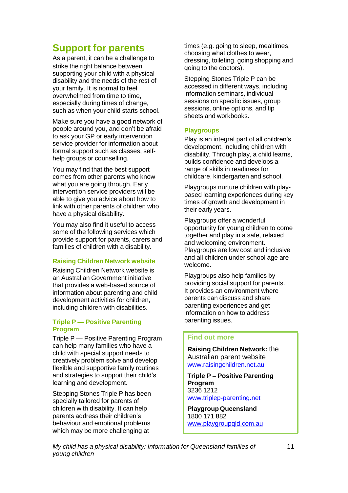# **Support for parents**

As a parent, it can be a challenge to strike the right balance between supporting your child with a physical disability and the needs of the rest of your family. It is normal to feel overwhelmed from time to time, especially during times of change, such as when your child starts school.

Make sure you have a good network of people around you, and don't be afraid to ask your GP or early intervention service provider for information about formal support such as classes, selfhelp groups or counselling.

You may find that the best support comes from other parents who know what you are going through. Early intervention service providers will be able to give you advice about how to link with other parents of children who have a physical disability.

You may also find it useful to access some of the following services which provide support for parents, carers and families of children with a disability.

## **Raising Children Network website**

Raising Children Network website is an Australian Government initiative that provides a web-based source of information about parenting and child development activities for children, including children with disabilities.

### **Triple P — Positive Parenting Program**

Triple P — Positive Parenting Program can help many families who have a child with special support needs to creatively problem solve and develop flexible and supportive family routines and strategies to support their child's learning and development.

Stepping Stones Triple P has been specially tailored for parents of children with disability. It can help parents address their children's behaviour and emotional problems which may be more challenging at

times (e.g. going to sleep, mealtimes, choosing what clothes to wear, dressing, toileting, going shopping and going to the doctors).

Stepping Stones Triple P can be accessed in different ways, including information seminars, individual sessions on specific issues, group sessions, online options, and tip sheets and workbooks.

## **Playgroups**

Play is an integral part of all children's development, including children with disability. Through play, a child learns, builds confidence and develops a range of skills in readiness for childcare, kindergarten and school.

Playgroups nurture children with playbased learning experiences during key times of growth and development in their early years.

Playgroups offer a wonderful opportunity for young children to come together and play in a safe, relaxed and welcoming environment. Playgroups are low cost and inclusive and all children under school age are welcome.

Playgroups also help families by providing social support for parents. It provides an environment where parents can discuss and share parenting experiences and get information on how to address parenting issues.

## **Find out more**

**Raising Children Network:** the Australian parent website [www.raisingchildren.net.au](http://www.raisingchildren.net.au/)

**Triple P – Positive Parenting Program** 3236 1212 [www.triplep-parenting.net](http://www.triplep-parenting.net/)

**Playgroup Queensland** 1800 171 882 [www.playgroupqld.com.au](http://www.playgroupqld.com.au/)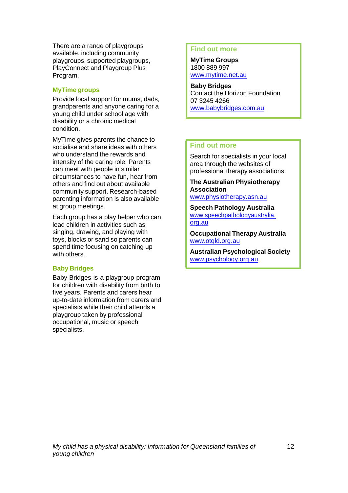There are a range of playgroups available, including community playgroups, supported playgroups, PlayConnect and Playgroup Plus Program.

## **MyTime groups**

Provide local support for mums, dads, grandparents and anyone caring for a young child under school age with disability or a chronic medical condition.

MyTime gives parents the chance to socialise and share ideas with others who understand the rewards and intensity of the caring role. Parents can meet with people in similar circumstances to have fun, hear from others and find out about available community support. Research-based parenting information is also available at group meetings.

Each group has a play helper who can lead children in activities such as singing, drawing, and playing with toys, blocks or sand so parents can spend time focusing on catching up with others.

# **Baby Bridges**

Baby Bridges is a playgroup program for children with disability from birth to five years. Parents and carers hear up-to-date information from carers and specialists while their child attends a playgroup taken by professional occupational, music or speech specialists.

### **Find out more**

**MyTime Groups** 1800 889 997 [www.mytime.net.au](http://www.mytime.net.au/)

**Baby Bridges** Contact the Horizon Foundation 07 3245 4266 [www.babybridges.com.au](http://www.babybridges.com.au/)

# **Find out more**

Search for specialists in your local area through the websites of professional therapy associations:

**The Australian Physiotherapy Association** [www.physiotherapy.asn.au](http://www.physiotherapy.asn.au/)

**Speech Pathology Australia** www.speechpathologyaustralia. org.au

**Occupational Therapy Australia** www.otald.org.au

**Australian Psychological Society** [www.psychology.org.au](http://www.psychology.org.au/)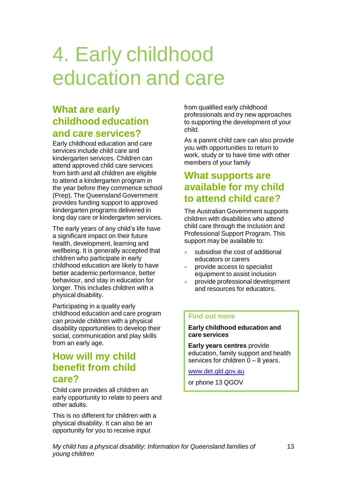# 4. Early childhood education and care

# **What are early childhood education and care services?**

Early childhood education and care services include child care and kindergarten services. Children can attend approved child care services from birth and all children are eligible to attend a kindergarten program in the year before they commence school (Prep). The Queensland Government provides funding support to approved kindergarten programs delivered in long day care or kindergarten services.

The early years of any child's life have a significant impact on their future health, development, learning and wellbeing. It is generally accepted that children who participate in early childhood education are likely to have better academic performance, better behaviour, and stay in education for longer. This includes children with a physical disability.

Participating in a quality early childhood education and care program can provide children with a physical disability opportunities to develop their social, communication and play skills from an early age.

# **How will my child benefit from child care?**

Child care provides all children an early opportunity to relate to peers and other adults.

This is no different for children with a physical disability. It can also be an opportunity for you to receive input

from qualified early childhood professionals and try new approaches to supporting the development of your child.

As a parent child care can also provide you with opportunities to return to work, study or to have time with other members of your family

# **What supports are available for my child to attend child care?**

The Australian Government supports children with disabilities who attend child care through the Inclusion and Professional Support Program. This support may be available to:

- subsidise the cost of additional educators or carers
- provide access to specialist equipment to assist inclusion
- provide professional development and resources for educators.

# **Find out more**

**Early childhood education and care services**

**Early years centres** provide education, family support and health services for children 0 – 8 years.

[www.det.qld.gov.au](http://www.dete.qld.gov.au/)

or phone 13 QGOV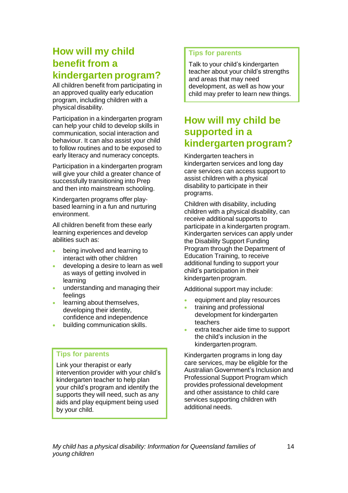# **How will my child benefit from a kindergarten program?**

All children benefit from participating in an approved quality early education program, including children with a physical disability.

Participation in a kindergarten program can help your child to develop skills in communication, social interaction and behaviour. It can also assist your child to follow routines and to be exposed to early literacy and numeracy concepts.

Participation in a kindergarten program will give your child a greater chance of successfully transitioning into Prep and then into mainstream schooling.

Kindergarten programs offer playbased learning in a fun and nurturing environment.

All children benefit from these early learning experiences and develop abilities such as:

- **•** being involved and learning to interact with other children
- developing a desire to learn as well as ways of getting involved in learning
- understanding and managing their feelings
- **.** learning about themselves, developing their identity, confidence and independence
- **•** building communication skills.

# **Tips for parents**

Link your therapist or early intervention provider with your child's kindergarten teacher to help plan your child's program and identify the supports they will need, such as any aids and play equipment being used by your child.

# **Tips for parents**

Talk to your child's kindergarten teacher about your child's strengths and areas that may need development, as well as how your child may prefer to learn new things.

# **How will my child be supported in a kindergarten program?**

Kindergarten teachers in kindergarten services and long day care services can access support to assist children with a physical disability to participate in their programs.

Children with disability, including children with a physical disability, can receive additional supports to participate in a kindergarten program. Kindergarten services can apply under the Disability Support Funding Program through the Department of Education Training, to receive additional funding to support your child's participation in their kindergarten program.

Additional support may include:

- equipment and play resources
- training and professional development for kindergarten teachers
- extra teacher aide time to support the child's inclusion in the kindergarten program.

Kindergarten programs in long day care services, may be eligible for the Australian Government's Inclusion and Professional Support Program which provides professional development and other assistance to child care services supporting children with additional needs.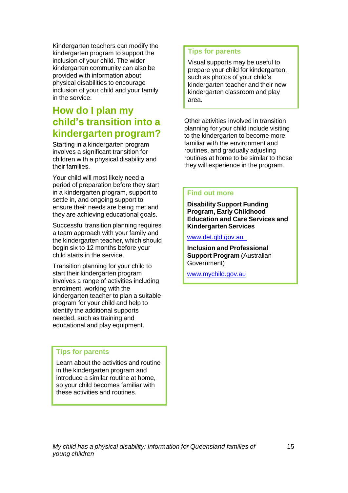Kindergarten teachers can modify the kindergarten program to support the inclusion of your child. The wider kindergarten community can also be provided with information about physical disabilities to encourage inclusion of your child and your family in the service.

# **How do I plan my child's transition into a kindergarten program?**

Starting in a kindergarten program involves a significant transition for children with a physical disability and their families.

Your child will most likely need a period of preparation before they start in a kindergarten program, support to settle in, and ongoing support to ensure their needs are being met and they are achieving educational goals.

Successful transition planning requires a team approach with your family and the kindergarten teacher, which should begin six to 12 months before your child starts in the service.

Transition planning for your child to start their kindergarten program involves a range of activities including enrolment, working with the kindergarten teacher to plan a suitable program for your child and help to identify the additional supports needed, such as training and educational and play equipment.

# **Tips for parents**

Learn about the activities and routine in the kindergarten program and introduce a similar routine at home, so your child becomes familiar with these activities and routines.

# **Tips for parents**

Visual supports may be useful to prepare your child for kindergarten, such as photos of your child's kindergarten teacher and their new kindergarten classroom and play area.

Other activities involved in transition planning for your child include visiting to the kindergarten to become more familiar with the environment and routines, and gradually adjusting routines at home to be similar to those they will experience in the program.

## **Find out more**

**Disability Support Funding Program, Early Childhood Education and Care Services and Kindergarten Services**

[www.det.qld.gov.au](http://www.dete.qld.gov.au/)

**Inclusion and Professional Support Program** (Australian Government)

[www.mychild.gov.au](http://www.mychild.gov.au/)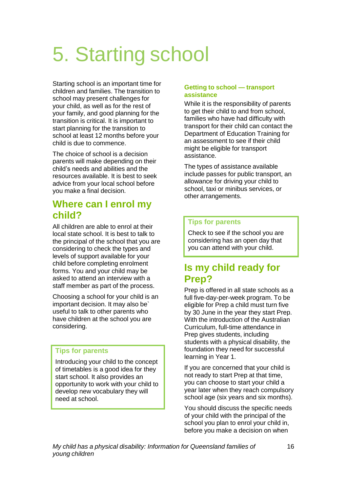# 5. Starting school

Starting school is an important time for children and families. The transition to school may present challenges for your child, as well as for the rest of your family, and good planning for the transition is critical. It is important to start planning for the transition to school at least 12 months before your child is due to commence.

The choice of school is a decision parents will make depending on their child's needs and abilities and the resources available. It is best to seek advice from your local school before you make a final decision.

# **Where can I enrol my child?**

All children are able to enrol at their local state school. It is best to talk to the principal of the school that you are considering to check the types and levels of support available for your child before completing enrolment forms. You and your child may be asked to attend an interview with a staff member as part of the process.

Choosing a school for your child is an important decision. It may also be` useful to talk to other parents who have children at the school you are considering.

# **Tips for parents**

Introducing your child to the concept of timetables is a good idea for they start school. It also provides an opportunity to work with your child to develop new vocabulary they will need at school.

## **Getting to school — transport assistance**

While it is the responsibility of parents to get their child to and from school, families who have had difficulty with transport for their child can contact the Department of Education Training for an assessment to see if their child might be eligible for transport assistance.

The types of assistance available include passes for public transport, an allowance for driving your child to school, taxi or minibus services, or other arrangements.

# **Tips for parents**

Check to see if the school you are considering has an open day that you can attend with your child.

# **Is my child ready for Prep?**

Prep is offered in all state schools as a full five-day-per-week program. To be eligible for Prep a child must turn five by 30 June in the year they start Prep. With the introduction of the Australian Curriculum, full-time attendance in Prep gives students, including students with a physical disability, the foundation they need for successful learning in Year 1.

If you are concerned that your child is not ready to start Prep at that time, you can choose to start your child a year later when they reach compulsory school age (six years and six months).

You should discuss the specific needs of your child with the principal of the school you plan to enrol your child in, before you make a decision on when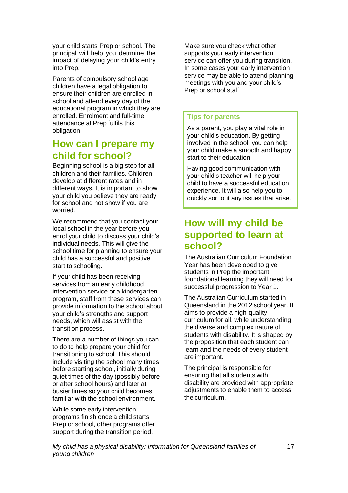your child starts Prep or school. The principal will help you detrmine the impact of delaying your child's entry into Prep.

Parents of compulsory school age children have a legal obligation to ensure their children are enrolled in school and attend every day of the educational program in which they are enrolled. Enrolment and full-time attendance at Prep fulfils this obligation.

# **How can I prepare my child for school?**

Beginning school is a big step for all children and their families. Children develop at different rates and in different ways. It is important to show your child you believe they are ready for school and not show if you are worried.

We recommend that you contact your local school in the year before you enrol your child to discuss your child's individual needs. This will give the school time for planning to ensure your child has a successful and positive start to schooling.

If your child has been receiving services from an early childhood intervention service or a kindergarten program, staff from these services can provide information to the school about your child's strengths and support needs, which will assist with the transition process.

There are a number of things you can to do to help prepare your child for transitioning to school. This should include visiting the school many times before starting school, initially during quiet times of the day (possibly before or after school hours) and later at busier times so your child becomes familiar with the school environment.

While some early intervention programs finish once a child starts Prep or school, other programs offer support during the transition period.

Make sure you check what other supports your early intervention service can offer you during transition. In some cases your early intervention service may be able to attend planning meetings with you and your child's Prep or school staff.

# **Tips for parents**

As a parent, you play a vital role in your child's education. By getting involved in the school, you can help your child make a smooth and happy start to their education.

Having good communication with your child's teacher will help your child to have a successful education experience. It will also help you to quickly sort out any issues that arise.

# **How will my child be supported to learn at school?**

The Australian Curriculum Foundation Year has been developed to give students in Prep the important foundational learning they will need for successful progression to Year 1.

The Australian Curriculum started in Queensland in the 2012 school year. It aims to provide a high-quality curriculum for all, while understanding the diverse and complex nature of students with disability. It is shaped by the proposition that each student can learn and the needs of every student are important.

The principal is responsible for ensuring that all students with disability are provided with appropriate adiustments to enable them to access the curriculum.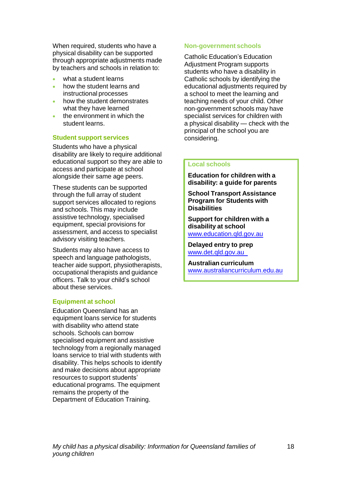When required, students who have a physical disability can be supported through appropriate adjustments made by teachers and schools in relation to:

- what a student learns
- how the student learns and instructional processes
- how the student demonstrates what they have learned
- the environment in which the student learns.

#### **Student support services**

Students who have a physical disability are likely to require additional educational support so they are able to access and participate at school alongside their same age peers.

These students can be supported through the full array of student support services allocated to regions and schools. This may include assistive technology, specialised equipment, special provisions for assessment, and access to specialist advisory visiting teachers.

Students may also have access to speech and language pathologists, teacher aide support, physiotherapists, occupational therapists and guidance officers. Talk to your child's school about these services.

#### **Equipment at school**

Education Queensland has an equipment loans service for students with disability who attend state schools. Schools can borrow specialised equipment and assistive technology from a regionally managed loans service to trial with students with disability. This helps schools to identify and make decisions about appropriate resources to support students' educational programs. The equipment remains the property of the Department of Education Training.

#### **Non-government schools**

Catholic Education's Education Adjustment Program supports students who have a disability in Catholic schools by identifying the educational adjustments required by a school to meet the learning and teaching needs of your child. Other non-government schools may have specialist services for children with a physical disability — check with the principal of the school you are considering.

### **Local schools**

**Education for children with a disability: a guide for parents**

**School Transport Assistance Program for Students with Disabilities**

**Support for children with a disability at school** [www.education.qld.gov.au](http://www.education.qld.gov.au/)

**Delayed entry to prep** [www.det.qld.gov.au](http://www.dete.qld.gov.au/)

**Australian curriculum** [www.australiancurriculum.edu.au](http://www.australiancurriculum.edu.au/)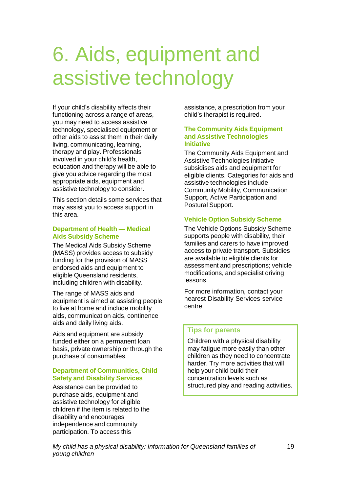# 6. Aids, equipment and assistive technology

If your child's disability affects their functioning across a range of areas, you may need to access assistive technology, specialised equipment or other aids to assist them in their daily living, communicating, learning, therapy and play. Professionals involved in your child's health, education and therapy will be able to give you advice regarding the most appropriate aids, equipment and assistive technology to consider.

This section details some services that may assist you to access support in this area.

#### **Department of Health — Medical Aids Subsidy Scheme**

The Medical Aids Subsidy Scheme (MASS) provides access to subsidy funding for the provision of MASS endorsed aids and equipment to eligible Queensland residents, including children with disability.

The range of MASS aids and equipment is aimed at assisting people to live at home and include mobility aids, communication aids, continence aids and daily living aids.

Aids and equipment are subsidy funded either on a permanent loan basis, private ownership or through the purchase of consumables.

## **Department of Communities, Child Safety and Disability Services**

Assistance can be provided to purchase aids, equipment and assistive technology for eligible children if the item is related to the disability and encourages independence and community participation. To access this

assistance, a prescription from your child's therapist is required.

#### **The Community Aids Equipment and Assistive Technologies Initiative**

The Community Aids Equipment and Assistive Technologies Initiative subsidises aids and equipment for eligible clients. Categories for aids and assistive technologies include Community Mobility, Communication Support, Active Participation and Postural Support.

## **Vehicle Option Subsidy Scheme**

The Vehicle Options Subsidy Scheme supports people with disability, their families and carers to have improved access to private transport. Subsidies are available to eligible clients for assessment and prescriptions; vehicle modifications, and specialist driving lessons.

For more information, contact your nearest Disability Services service centre.

## **Tips for parents**

Children with a physical disability may fatigue more easily than other children as they need to concentrate harder. Try more activities that will help your child build their concentration levels such as structured play and reading activities.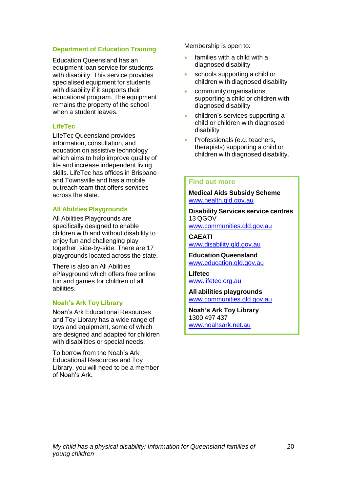#### **Department of Education Training**

Education Queensland has an equipment loan service for students with disability. This service provides specialised equipment for students with disability if it supports their educational program. The equipment remains the property of the school when a student leaves.

#### **LifeTec**

LifeTec Queensland provides information, consultation, and education on assistive technology which aims to help improve quality of life and increase independent living skills. LifeTec has offices in Brisbane and Townsville and has a mobile outreach team that offers services across the state.

### **All Abilities Playgrounds**

All Abilities Playgrounds are specifically designed to enable children with and without disability to enjoy fun and challenging play together, side-by-side. There are 17 playgrounds located across the state.

There is also an All Abilities ePlayground which offers free online fun and games for children of all abilities.

#### **Noah's Ark Toy Library**

Noah's Ark Educational Resources and Toy Library has a wide range of toys and equipment, some of which are designed and adapted for children with disabilities or special needs.

To borrow from the Noah's Ark Educational Resources and Toy Library, you will need to be a member of Noah's Ark.

Membership is open to:

- families with a child with a diagnosed disability
- schools supporting a child or children with diagnosed disability
- community organisations supporting a child or children with diagnosed disability
- children's services supporting a child or children with diagnosed disability
- **Professionals (e.g. teachers,** therapists) supporting a child or children with diagnosed disability.

#### **Find out more**

**Medical Aids Subsidy Scheme** [www.health.qld.gov.au](http://www.health.qld.gov.au/)

**Disability Services service centres** 13 QGOV [www.communities.qld.gov.au](http://www.communities.qld.gov.au/)

**CAEATI**

[www.disability.qld.gov.au](http://www.disability.qld.gov.au/)

**Education Queensland** [www.education.qld.gov.au](http://www.education.qld.gov.au/)

**Lifetec** [www.lifetec.org.au](http://www.lifetec.org.au/)

**All abilities playgrounds** [www.communities.qld.gov.au](http://www.communities.qld.gov.au/)

**Noah's Ark Toy Library** 1300 497 437 [www.noahsark.net.au](http://www.noahsark.net.au/)